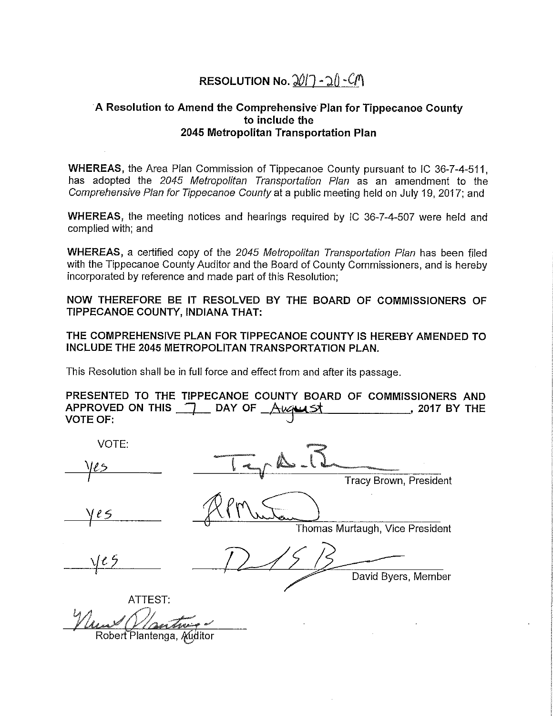# RESOLUTION No.  $2017 - 20$  -CM

## "A Resolution to Amend the Comprehensive Plan for Tippecanoe County to include the 2045 Metropolitan Transportation Plan

WHEREAS, the Area Plan Commission of Tippecanoe County pursuant to lC 36-7-4—511, has adopted the 2045 Metropolitan Transportation Plan as an amendment to the Comprehensive Plan for Tippecanoe County at <sup>a</sup> public meeting held on July 19, 2017; and

WHEREAS, the meeting notices and hearings required by IC 36-7-4-507 were held and complied with; and

WHEREAS, <sup>a</sup> certified copy of the 2045 Metropolitan Transportation Plan has been filed with the Tippecanoe County Auditor and the Board of County Commissioners, and is hereby incorporated by reference and made part of this Resolution;

NOW THEREFORE BE IT RESOLVED BY THE BOARD OF COMMISSIONERS OF TIPPECANOE COUNTY, INDIANA THAT:

THE COMPREHENSIVE PLAN FOR TIPPECANOE COUNTY IS HEREBY AMENDED TO INCLUDE THE 2045 METROPOLITAN TRANSPORTATION PLAN.

This Resolution shall be in full force and effect from and after its passage.

PRESENTED To THE TIPPECANOE COUNTY BOARD OF COMMISSIONERS AND APPROVED ON THIS  $\Box$  DAY OF  $\Delta w$   $\Delta x$ **VOTE OF:** 

VOTE:  $V(s)$ **Tracy Brown, President** yes Killburton Thomas Murtaugh, Vice President  $\sqrt{\ell}$  5  $^{-}$  $25-$ 72/;  $\overline{\mathcal{L}}$ David Byers, Member r i series.<br>I series e series **I** Service / ATTEST:

Robert Plantenga, Auditor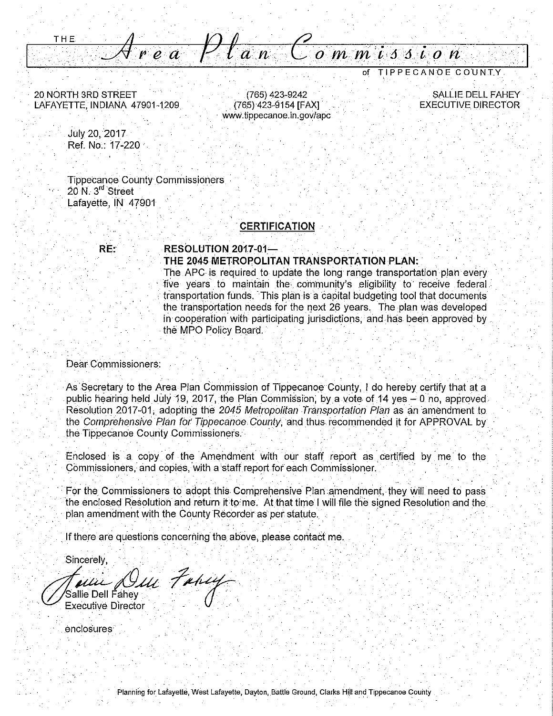THF rea Vlan Commission

20 NORTH 3RD STREET LAFAYETTE, INDIANA 47901-1209

 $(765)$  423-9242 (765) 423-9154 [FAX] www.tippecanoe.in.gov/apc

SALLIE DELL FAHEY **EXECUTIVE DIRECTOR** 

of TIPPECANOE COUNTY

July 20, 2017 Ref. No.: 17-220

**Tippecanoe County Commissioners** 20 N. 3<sup>rd</sup> Street Lafayette, IN 47901

#### **CERTIFICATION**

RE:

### RESOLUTION 2017-01-THE 2045 METROPOLITAN TRANSPORTATION PLAN:

The APC is required to update the long range transportation plan every five years to maintain the community's eligibility to receive federal transportation funds. This plan is a capital budgeting tool that documents the transportation needs for the next 26 years. The plan was developed in cooperation with participating jurisdictions, and has been approved by the MPO Policy Board.

Dear Commissioners:

As Secretary to the Area Plan Commission of Tippecanoe County, I do hereby certify that at a public hearing held July 19, 2017, the Plan Commission, by a vote of 14 yes - 0 no, approved Resolution 2017-01, adopting the 2045 Metropolitan Transportation Plan as an amendment to the Comprehensive Plan for Tippecanoe County, and thus recommended it for APPROVAL by the Tippecanoe County Commissioners.

Enclosed is a copy of the Amendment with our staff report as certified by me to the Commissioners, and copies, with a staff report for each Commissioner.

For the Commissioners to adopt this Comprehensive Plan amendment, they will need to pass the enclosed Resolution and return it to me. At that time I will file the signed Resolution and the plan amendment with the County Recorder as per statute.

If there are questions concerning the above, please contact me.

Sincerely.

eun Dur Farry .<br>Sallie Dell Fahev **Executive Director** 

enclosures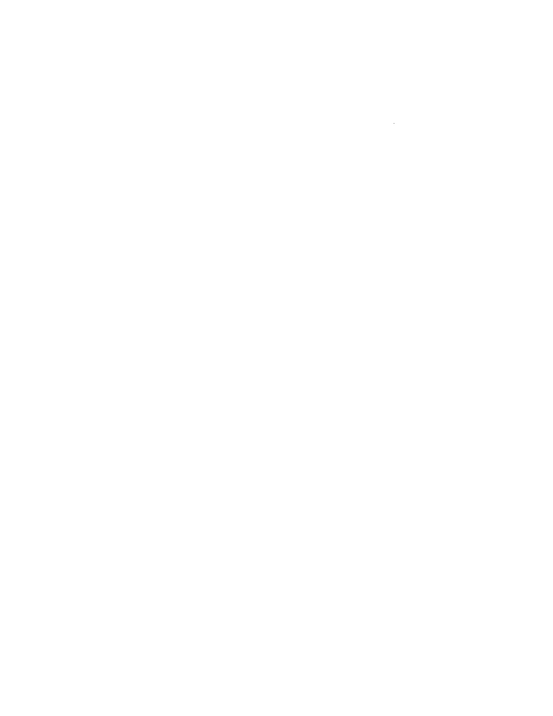$\label{eq:2.1} \frac{1}{\sqrt{2}}\int_{0}^{\infty}\frac{1}{\sqrt{2\pi}}\left(\frac{1}{\sqrt{2\pi}}\right)^{2\alpha} \frac{1}{\sqrt{2\pi}}\int_{0}^{\infty}\frac{1}{\sqrt{2\pi}}\left(\frac{1}{\sqrt{2\pi}}\right)^{\alpha} \frac{1}{\sqrt{2\pi}}\frac{1}{\sqrt{2\pi}}\int_{0}^{\infty}\frac{1}{\sqrt{2\pi}}\frac{1}{\sqrt{2\pi}}\frac{1}{\sqrt{2\pi}}\frac{1}{\sqrt{2\pi}}\frac{1}{\sqrt{2\pi}}\frac{1}{\sqrt{2\pi}}$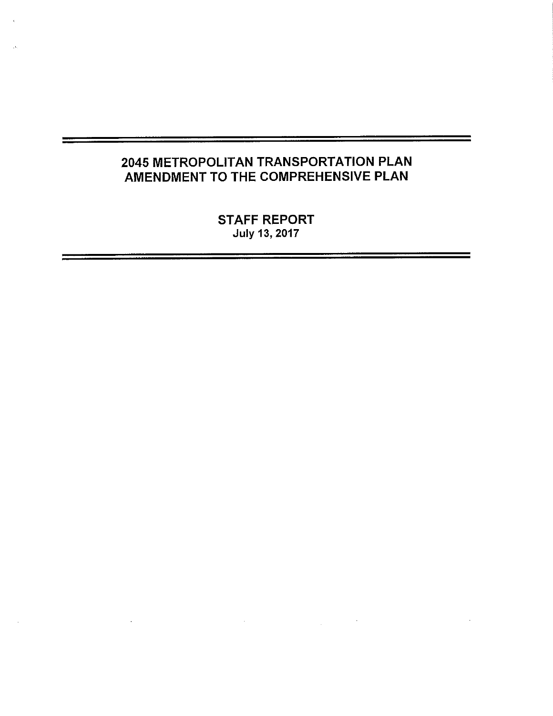# 2045 METROPOLITAN TRANSPORTATION PLAN AMENDMENT TO THE COMPREHENSIVE PLAN

STAFF REPORT July 13, 2017

 $\hat{\mathcal{L}}$ 

 $\sim 10$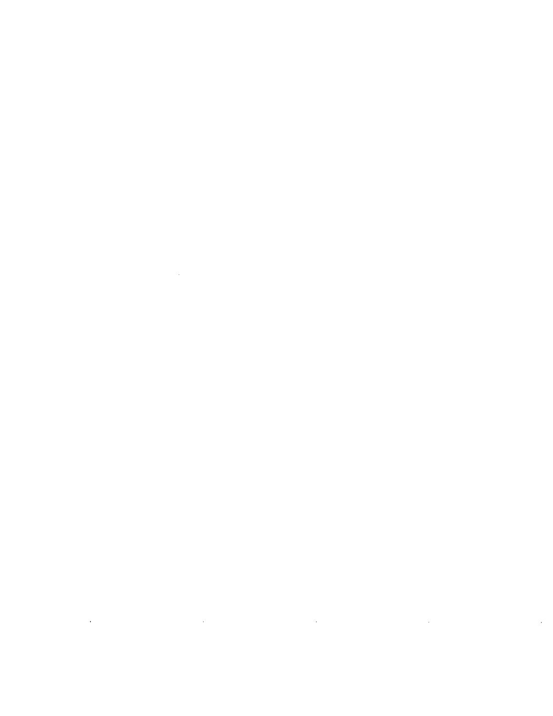$\label{eq:2.1} \frac{1}{\sqrt{2}}\int_{\mathbb{R}^3}\frac{1}{\sqrt{2}}\left(\frac{1}{\sqrt{2}}\right)^2\frac{1}{\sqrt{2}}\left(\frac{1}{\sqrt{2}}\right)^2\frac{1}{\sqrt{2}}\left(\frac{1}{\sqrt{2}}\right)^2\frac{1}{\sqrt{2}}\left(\frac{1}{\sqrt{2}}\right)^2\frac{1}{\sqrt{2}}\left(\frac{1}{\sqrt{2}}\right)^2.$ 

 $\mathcal{L}(\mathcal{L}(\mathcal{L}))$  is a substitution of the set of  $\mathcal{L}(\mathcal{L})$  . The set of  $\mathcal{L}(\mathcal{L})$ 

 $\mathcal{L}^{\text{max}}_{\text{max}}$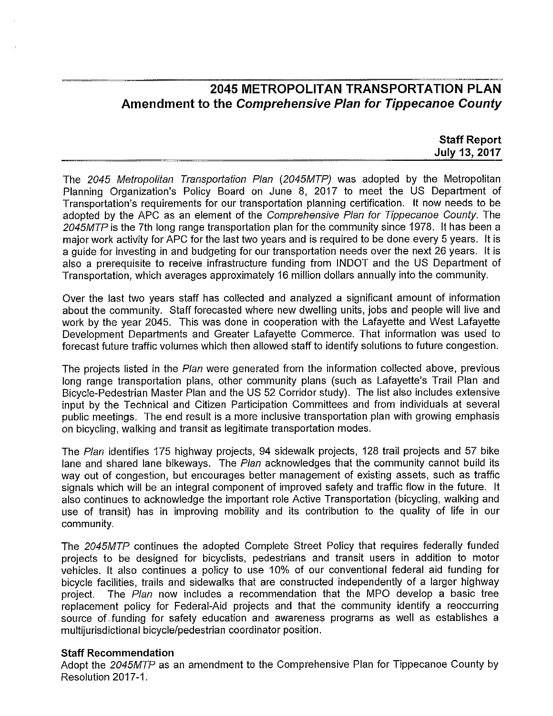## 2045 METROPOLITAN TRANSPORTATION PLAN Amendment to the Comprehensive Plan for Tippecanoe County

| <b>Staff Report</b> |  |
|---------------------|--|
| July 13, 2017       |  |

The 2045 Metropolitan Transportation Plan (2045MTP) was adopted by the Metropolitan Planning Organization's Policy Board on June 8, 2017 to meet the US Department of Transportation's requirements for our transportation planning certification. It now needs to be adopted by the APC as an element of the Comprehensive Plan for Tippecanoe County. The 2045MTP is the 7th long range transportation plan for the community since 1978. It has been a major work activity for APC for the last two years and is required to be done every <sup>5</sup> years. It is a guide for investing in and budgeting for our transportation needs over the next 26 years. It is also <sup>a</sup> prerequisite to receive infrastructure funding from INDOT and the US Department of Transportation, which averages approximately <sup>16</sup> million dollars annually into the community.

Over the last two years staff has collected and analyzed <sup>a</sup> significant amount of information about the community. Staff forecasted where new dwelling units, jobs and people will live and work by the year 2045. This was done in cooperation with the Lafayette and West Lafayette Development Departments and Greater Lafayette Commerce. That information was used to forecast future traffic volumes which then allowed staff to identify solutions to future congestion.

The projects listed in the Plan were generated from the information collected above, previous long range transportation plans, other community plans (such as Lafayette's Trail Plan and Bicycle-Pedestrian Master Plan and the US <sup>52</sup> Corridor study). The list also includes extensive input by the Technical and Citizen Participation Committees and from individuals at several public meetings. The end result is <sup>a</sup> more inclusive transportation plan with growing emphasis on bicycling, walking and transit as legitimate transportation modes.

The Plan identifies 175 highway projects, 94 sidewalk projects, 128 trail projects and 57 bike lane and shared lane bikeways. The Plan acknowledges that the community cannot build its way out of congestion, but encourages better management of existing assets, such as traffic signals which will be an integral component of improved safety and traffic flow in the future. It also continues to acknowledge the important role Active Transportation (bicycling, walking and use of transit) has in improving mobility and its contribution to the quality of life in our community.

The 2045MTP continues the adopted Complete Street Policy that requires federally funded projects to be designed for bicyclists, pedestrians and transit users in addition to motor vehicles. It also continues <sup>a</sup> policy to use 10% of our conventional federal aid funding for bicycle facilities, trails and sidewalks that are constructed independently of <sup>a</sup> larger highway project. The Plan now includes a recommendation that the MPO develop a basic tree replacement policy for Federal-Aid projects and that the community identify <sup>a</sup> reoccurring source of funding for safety education and awareness programs as well as establishes a multijurisdictional bicyclelpedestrian coordinator position.

## Staff Recommendation

Adopt the 2045MTP as an amendment to the Comprehensive Plan for Tippecanoe County by Resolution 2017-1.